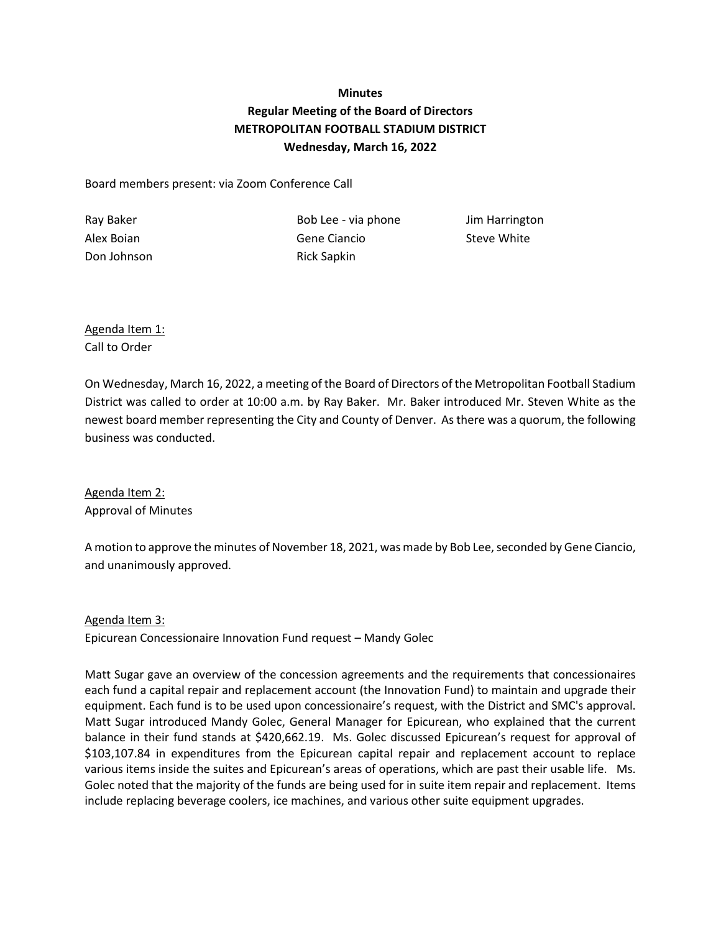## **Minutes Regular Meeting of the Board of Directors METROPOLITAN FOOTBALL STADIUM DISTRICT Wednesday, March 16, 2022**

Board members present: via Zoom Conference Call

Don Johnson **Rick Sapkin** 

Ray Baker **Bob Lee - via phone** Jim Harrington Alex Boian Gene Ciancio Steve White

Agenda Item 1: Call to Order

On Wednesday, March 16, 2022, a meeting of the Board of Directors of the Metropolitan Football Stadium District was called to order at 10:00 a.m. by Ray Baker. Mr. Baker introduced Mr. Steven White as the newest board member representing the City and County of Denver. As there was a quorum, the following business was conducted.

Agenda Item 2: Approval of Minutes

A motion to approve the minutes of November 18, 2021, was made by Bob Lee, seconded by Gene Ciancio, and unanimously approved.

## Agenda Item 3:

Epicurean Concessionaire Innovation Fund request – Mandy Golec

Matt Sugar gave an overview of the concession agreements and the requirements that concessionaires each fund a capital repair and replacement account (the Innovation Fund) to maintain and upgrade their equipment. Each fund is to be used upon concessionaire's request, with the District and SMC's approval. Matt Sugar introduced Mandy Golec, General Manager for Epicurean, who explained that the current balance in their fund stands at \$420,662.19. Ms. Golec discussed Epicurean's request for approval of \$103,107.84 in expenditures from the Epicurean capital repair and replacement account to replace various items inside the suites and Epicurean's areas of operations, which are past their usable life. Ms. Golec noted that the majority of the funds are being used for in suite item repair and replacement. Items include replacing beverage coolers, ice machines, and various other suite equipment upgrades.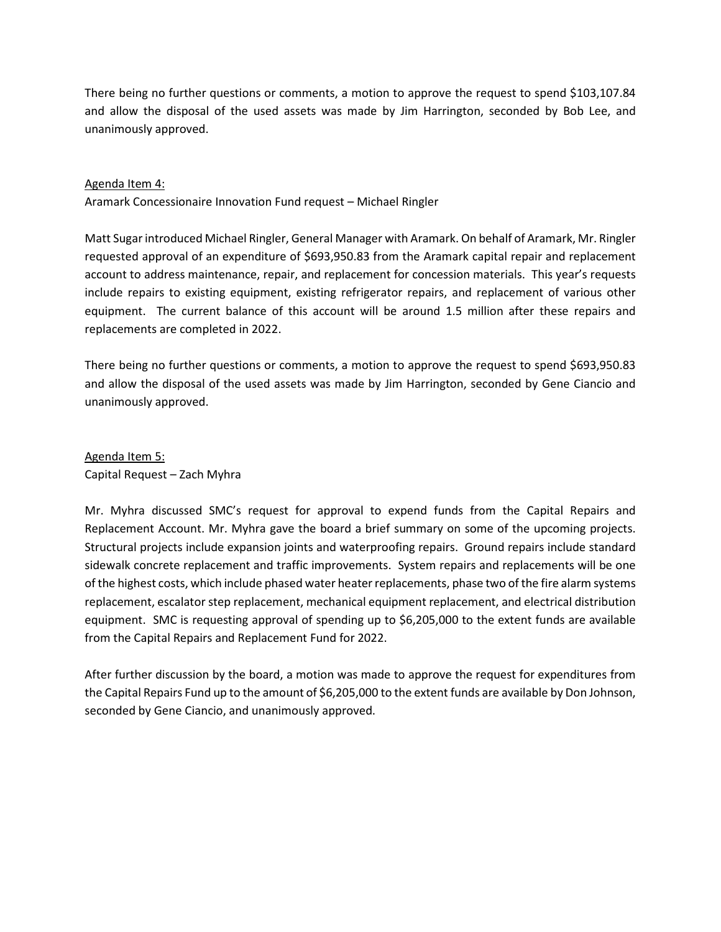There being no further questions or comments, a motion to approve the request to spend \$103,107.84 and allow the disposal of the used assets was made by Jim Harrington, seconded by Bob Lee, and unanimously approved.

## Agenda Item 4:

Aramark Concessionaire Innovation Fund request – Michael Ringler

Matt Sugar introduced Michael Ringler, General Manager with Aramark. On behalf of Aramark, Mr. Ringler requested approval of an expenditure of \$693,950.83 from the Aramark capital repair and replacement account to address maintenance, repair, and replacement for concession materials. This year's requests include repairs to existing equipment, existing refrigerator repairs, and replacement of various other equipment. The current balance of this account will be around 1.5 million after these repairs and replacements are completed in 2022.

There being no further questions or comments, a motion to approve the request to spend \$693,950.83 and allow the disposal of the used assets was made by Jim Harrington, seconded by Gene Ciancio and unanimously approved.

Agenda Item 5: Capital Request – Zach Myhra

Mr. Myhra discussed SMC's request for approval to expend funds from the Capital Repairs and Replacement Account. Mr. Myhra gave the board a brief summary on some of the upcoming projects. Structural projects include expansion joints and waterproofing repairs. Ground repairs include standard sidewalk concrete replacement and traffic improvements. System repairs and replacements will be one of the highest costs, which include phased water heater replacements, phase two of the fire alarm systems replacement, escalator step replacement, mechanical equipment replacement, and electrical distribution equipment. SMC is requesting approval of spending up to \$6,205,000 to the extent funds are available from the Capital Repairs and Replacement Fund for 2022.

After further discussion by the board, a motion was made to approve the request for expenditures from the Capital Repairs Fund up to the amount of \$6,205,000 to the extent funds are available by Don Johnson, seconded by Gene Ciancio, and unanimously approved.